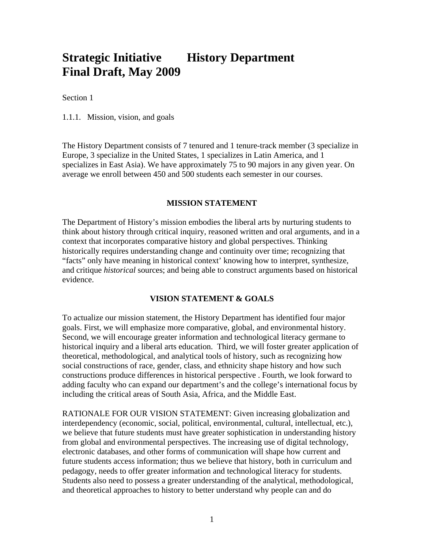# **Strategic Initiative History Department Final Draft, May 2009**

Section 1

1.1.1. Mission, vision, and goals

The History Department consists of 7 tenured and 1 tenure-track member (3 specialize in Europe, 3 specialize in the United States, 1 specializes in Latin America, and 1 specializes in East Asia). We have approximately 75 to 90 majors in any given year. On average we enroll between 450 and 500 students each semester in our courses.

#### **MISSION STATEMENT**

The Department of History's mission embodies the liberal arts by nurturing students to think about history through critical inquiry, reasoned written and oral arguments, and in a context that incorporates comparative history and global perspectives. Thinking historically requires understanding change and continuity over time; recognizing that "facts" only have meaning in historical context' knowing how to interpret, synthesize, and critique *historical* sources; and being able to construct arguments based on historical evidence.

#### **VISION STATEMENT & GOALS**

To actualize our mission statement, the History Department has identified four major goals. First, we will emphasize more comparative, global, and environmental history. Second, we will encourage greater information and technological literacy germane to historical inquiry and a liberal arts education. Third, we will foster greater application of theoretical, methodological, and analytical tools of history, such as recognizing how social constructions of race, gender, class, and ethnicity shape history and how such constructions produce differences in historical perspective . Fourth, we look forward to adding faculty who can expand our department's and the college's international focus by including the critical areas of South Asia, Africa, and the Middle East.

RATIONALE FOR OUR VISION STATEMENT: Given increasing globalization and interdependency (economic, social, political, environmental, cultural, intellectual, etc.), we believe that future students must have greater sophistication in understanding history from global and environmental perspectives. The increasing use of digital technology, electronic databases, and other forms of communication will shape how current and future students access information; thus we believe that history, both in curriculum and pedagogy, needs to offer greater information and technological literacy for students. Students also need to possess a greater understanding of the analytical, methodological, and theoretical approaches to history to better understand why people can and do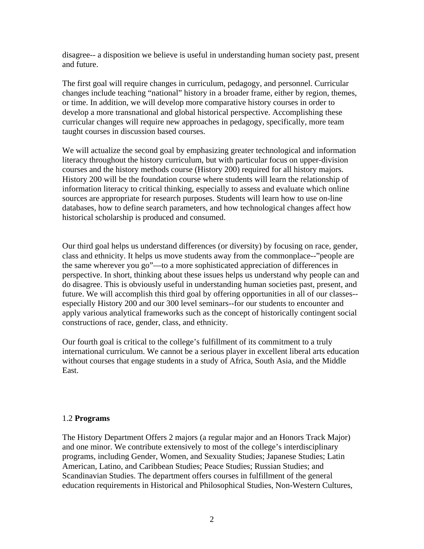disagree-- a disposition we believe is useful in understanding human society past, present and future.

The first goal will require changes in curriculum, pedagogy, and personnel. Curricular changes include teaching "national" history in a broader frame, either by region, themes, or time. In addition, we will develop more comparative history courses in order to develop a more transnational and global historical perspective. Accomplishing these curricular changes will require new approaches in pedagogy, specifically, more team taught courses in discussion based courses.

We will actualize the second goal by emphasizing greater technological and information literacy throughout the history curriculum, but with particular focus on upper-division courses and the history methods course (History 200) required for all history majors. History 200 will be the foundation course where students will learn the relationship of information literacy to critical thinking, especially to assess and evaluate which online sources are appropriate for research purposes. Students will learn how to use on-line databases, how to define search parameters, and how technological changes affect how historical scholarship is produced and consumed.

Our third goal helps us understand differences (or diversity) by focusing on race, gender, class and ethnicity. It helps us move students away from the commonplace--"people are the same wherever you go"—to a more sophisticated appreciation of differences in perspective. In short, thinking about these issues helps us understand why people can and do disagree. This is obviously useful in understanding human societies past, present, and future. We will accomplish this third goal by offering opportunities in all of our classes- especially History 200 and our 300 level seminars--for our students to encounter and apply various analytical frameworks such as the concept of historically contingent social constructions of race, gender, class, and ethnicity.

Our fourth goal is critical to the college's fulfillment of its commitment to a truly international curriculum. We cannot be a serious player in excellent liberal arts education without courses that engage students in a study of Africa, South Asia, and the Middle East.

## 1.2 **Programs**

The History Department Offers 2 majors (a regular major and an Honors Track Major) and one minor. We contribute extensively to most of the college's interdisciplinary programs, including Gender, Women, and Sexuality Studies; Japanese Studies; Latin American, Latino, and Caribbean Studies; Peace Studies; Russian Studies; and Scandinavian Studies. The department offers courses in fulfillment of the general education requirements in Historical and Philosophical Studies, Non-Western Cultures,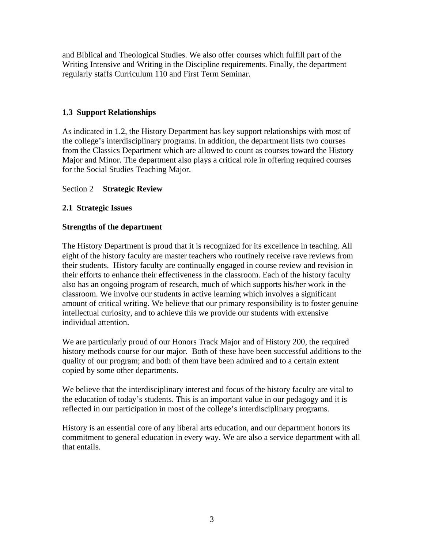and Biblical and Theological Studies. We also offer courses which fulfill part of the Writing Intensive and Writing in the Discipline requirements. Finally, the department regularly staffs Curriculum 110 and First Term Seminar.

# **1.3 Support Relationships**

As indicated in 1.2, the History Department has key support relationships with most of the college's interdisciplinary programs. In addition, the department lists two courses from the Classics Department which are allowed to count as courses toward the History Major and Minor. The department also plays a critical role in offering required courses for the Social Studies Teaching Major.

# Section 2 **Strategic Review**

# **2.1 Strategic Issues**

## **Strengths of the department**

The History Department is proud that it is recognized for its excellence in teaching. All eight of the history faculty are master teachers who routinely receive rave reviews from their students. History faculty are continually engaged in course review and revision in their efforts to enhance their effectiveness in the classroom. Each of the history faculty also has an ongoing program of research, much of which supports his/her work in the classroom. We involve our students in active learning which involves a significant amount of critical writing. We believe that our primary responsibility is to foster genuine intellectual curiosity, and to achieve this we provide our students with extensive individual attention.

We are particularly proud of our Honors Track Major and of History 200, the required history methods course for our major. Both of these have been successful additions to the quality of our program; and both of them have been admired and to a certain extent copied by some other departments.

We believe that the interdisciplinary interest and focus of the history faculty are vital to the education of today's students. This is an important value in our pedagogy and it is reflected in our participation in most of the college's interdisciplinary programs.

History is an essential core of any liberal arts education, and our department honors its commitment to general education in every way. We are also a service department with all that entails.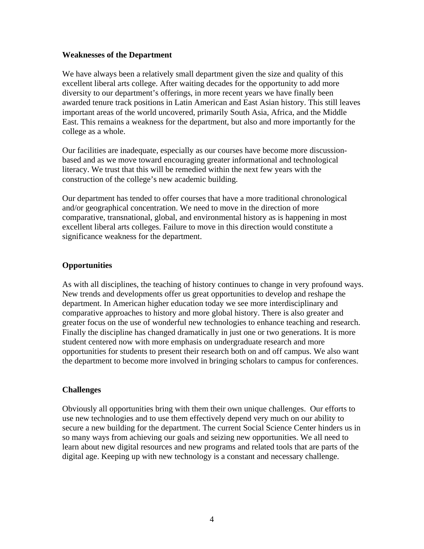#### **Weaknesses of the Department**

We have always been a relatively small department given the size and quality of this excellent liberal arts college. After waiting decades for the opportunity to add more diversity to our department's offerings, in more recent years we have finally been awarded tenure track positions in Latin American and East Asian history. This still leaves important areas of the world uncovered, primarily South Asia, Africa, and the Middle East. This remains a weakness for the department, but also and more importantly for the college as a whole.

Our facilities are inadequate, especially as our courses have become more discussionbased and as we move toward encouraging greater informational and technological literacy. We trust that this will be remedied within the next few years with the construction of the college's new academic building.

Our department has tended to offer courses that have a more traditional chronological and/or geographical concentration. We need to move in the direction of more comparative, transnational, global, and environmental history as is happening in most excellent liberal arts colleges. Failure to move in this direction would constitute a significance weakness for the department.

# **Opportunities**

As with all disciplines, the teaching of history continues to change in very profound ways. New trends and developments offer us great opportunities to develop and reshape the department. In American higher education today we see more interdisciplinary and comparative approaches to history and more global history. There is also greater and greater focus on the use of wonderful new technologies to enhance teaching and research. Finally the discipline has changed dramatically in just one or two generations. It is more student centered now with more emphasis on undergraduate research and more opportunities for students to present their research both on and off campus. We also want the department to become more involved in bringing scholars to campus for conferences.

## **Challenges**

Obviously all opportunities bring with them their own unique challenges. Our efforts to use new technologies and to use them effectively depend very much on our ability to secure a new building for the department. The current Social Science Center hinders us in so many ways from achieving our goals and seizing new opportunities. We all need to learn about new digital resources and new programs and related tools that are parts of the digital age. Keeping up with new technology is a constant and necessary challenge.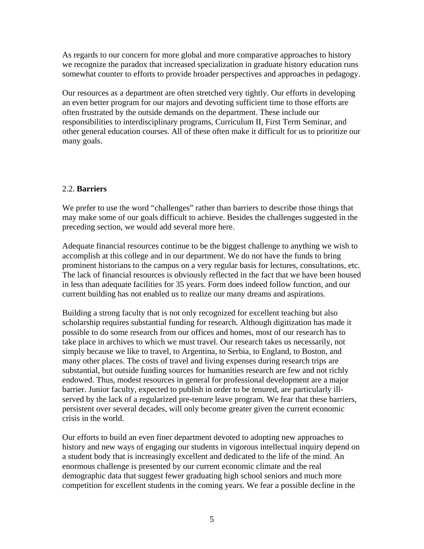As regards to our concern for more global and more comparative approaches to history we recognize the paradox that increased specialization in graduate history education runs somewhat counter to efforts to provide broader perspectives and approaches in pedagogy.

Our resources as a department are often stretched very tightly. Our efforts in developing an even better program for our majors and devoting sufficient time to those efforts are often frustrated by the outside demands on the department. These include our responsibilities to interdisciplinary programs, Curriculum II, First Term Seminar, and other general education courses. All of these often make it difficult for us to prioritize our many goals.

# 2.2. **Barriers**

We prefer to use the word "challenges" rather than barriers to describe those things that may make some of our goals difficult to achieve. Besides the challenges suggested in the preceding section, we would add several more here.

Adequate financial resources continue to be the biggest challenge to anything we wish to accomplish at this college and in our department. We do not have the funds to bring prominent historians to the campus on a very regular basis for lectures, consultations, etc. The lack of financial resources is obviously reflected in the fact that we have been housed in less than adequate facilities for 35 years. Form does indeed follow function, and our current building has not enabled us to realize our many dreams and aspirations.

Building a strong faculty that is not only recognized for excellent teaching but also scholarship requires substantial funding for research. Although digitization has made it possible to do some research from our offices and homes, most of our research has to take place in archives to which we must travel. Our research takes us necessarily, not simply because we like to travel, to Argentina, to Serbia, to England, to Boston, and many other places. The costs of travel and living expenses during research trips are substantial, but outside funding sources for humanities research are few and not richly endowed. Thus, modest resources in general for professional development are a major barrier. Junior faculty, expected to publish in order to be tenured, are particularly illserved by the lack of a regularized pre-tenure leave program. We fear that these barriers, persistent over several decades, will only become greater given the current economic crisis in the world.

Our efforts to build an even finer department devoted to adopting new approaches to history and new ways of engaging our students in vigorous intellectual inquiry depend on a student body that is increasingly excellent and dedicated to the life of the mind. An enormous challenge is presented by our current economic climate and the real demographic data that suggest fewer graduating high school seniors and much more competition for excellent students in the coming years. We fear a possible decline in the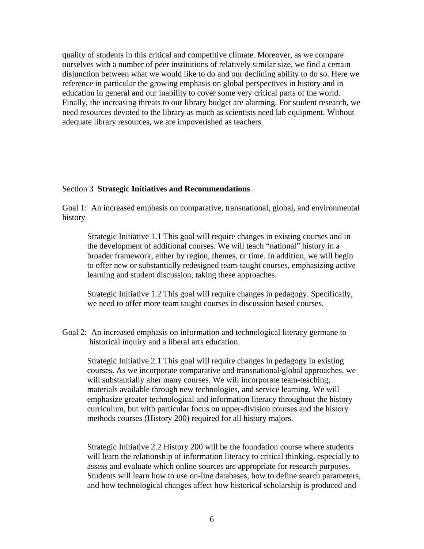quality of students in this critical and competitive climate. Moreover, as we compare ourselves with a number of peer institutions of relatively similar size, we find a certain disjunction between what we would like to do and our declining ability to do so. Here we reference in particular the growing emphasis on global perspectives in history and in education in general and our inability to cover some very critical parts of the world. Finally, the increasing threats to our library budget are alarming. For student research, we need resources devoted to the library as much as scientists need lab equipment. Without adequate library resources, we are impoverished as teachers.

#### Section 3 **Strategic Initiatives and Recommendations**

Goal 1: An increased emphasis on comparative, transnational, global, and environmental history

Strategic Initiative 1.1 This goal will require changes in existing courses and in the development of additional courses. We will teach "national" history in a broader framework, either by region, themes, or time. In addition, we will begin to offer new or substantially redesigned team-taught courses, emphasizing active learning and student discussion, taking these approaches.

Strategic Initiative 1.2 This goal will require changes in pedagogy. Specifically, we need to offer more team taught courses in discussion based courses.

Goal 2: An increased emphasis on information and technological literacy germane to historical inquiry and a liberal arts education.

Strategic Initiative 2.1 This goal will require changes in pedagogy in existing courses. As we incorporate comparative and transnational/global approaches, we will substantially alter many courses. We will incorporate team-teaching, materials available through new technologies, and service learning. We will emphasize greater technological and information literacy throughout the history curriculum, but with particular focus on upper-division courses and the history methods courses (History 200) required for all history majors.

Strategic Initiative 2.2 History 200 will be the foundation course where students will learn the relationship of information literacy to critical thinking, especially to assess and evaluate which online sources are appropriate for research purposes. Students will learn how to use on-line databases, how to define search parameters, and how technological changes affect how historical scholarship is produced and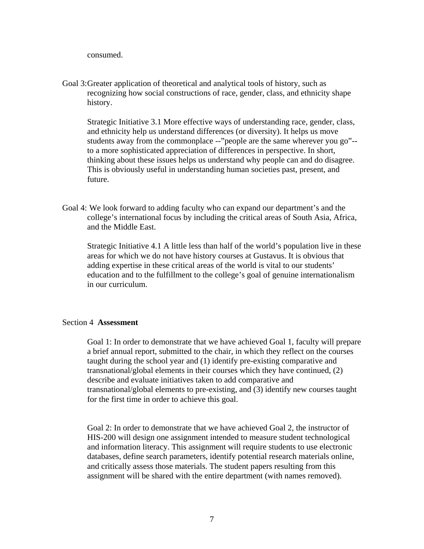consumed.

Goal 3: Greater application of theoretical and analytical tools of history, such as recognizing how social constructions of race, gender, class, and ethnicity shape history.

Strategic Initiative 3.1 More effective ways of understanding race, gender, class, and ethnicity help us understand differences (or diversity). It helps us move students away from the commonplace --"people are the same wherever you go"- to a more sophisticated appreciation of differences in perspective. In short, thinking about these issues helps us understand why people can and do disagree. This is obviously useful in understanding human societies past, present, and future.

Goal 4: We look forward to adding faculty who can expand our department's and the college's international focus by including the critical areas of South Asia, Africa, and the Middle East.

 Strategic Initiative 4.1 A little less than half of the world's population live in these areas for which we do not have history courses at Gustavus. It is obvious that adding expertise in these critical areas of the world is vital to our students' education and to the fulfillment to the college's goal of genuine internationalism in our curriculum.

#### Section 4 **Assessment**

Goal 1: In order to demonstrate that we have achieved Goal 1, faculty will prepare a brief annual report, submitted to the chair, in which they reflect on the courses taught during the school year and (1) identify pre-existing comparative and transnational/global elements in their courses which they have continued, (2) describe and evaluate initiatives taken to add comparative and transnational/global elements to pre-existing, and (3) identify new courses taught for the first time in order to achieve this goal.

Goal 2: In order to demonstrate that we have achieved Goal 2, the instructor of HIS-200 will design one assignment intended to measure student technological and information literacy. This assignment will require students to use electronic databases, define search parameters, identify potential research materials online, and critically assess those materials. The student papers resulting from this assignment will be shared with the entire department (with names removed).